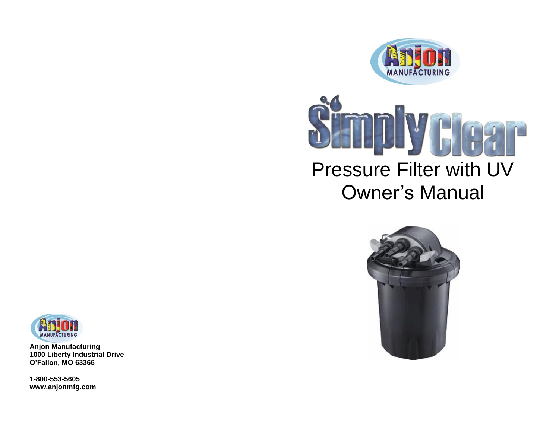







**Anjon Manufacturing 1000 Liberty Industrial Drive O'Fallon, MO 63366**

**1-800-553-5605 www.anjonmfg.com**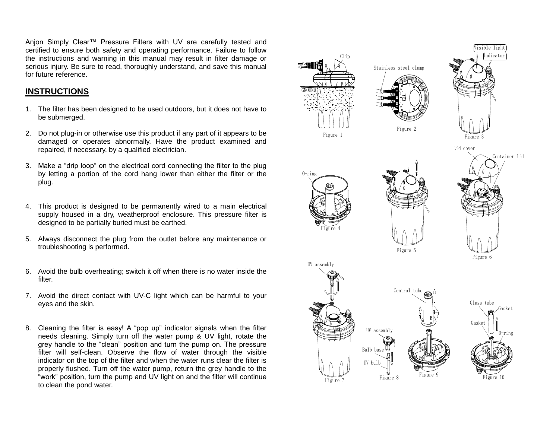Anjon Simply Clear™ Pressure Filters with UV are carefully tested and certified to ensure both safety and operating performance. Failure to follow the instructions and warning in this manual may result in filter damage or serious injury. Be sure to read, thoroughly understand, and save this manual for future reference.

## **INSTRUCTIONS**

- 1. The filter has been designed to be used outdoors, but it does not have to be submerged.
- 2. Do not plug-in or otherwise use this product if any part of it appears to be damaged or operates abnormally. Have the product examined and repaired, if necessary, by a qualified electrician.
- 3. Make a "drip loop" on the electrical cord connecting the filter to the plug by letting a portion of the cord hang lower than either the filter or the plug.
- 4. This product is designed to be permanently wired to a main electrical supply housed in a dry, weatherproof enclosure. This pressure filter is designed to be partially buried must be earthed.
- 5. Always disconnect the plug from the outlet before any maintenance or troubleshooting is performed.
- 6. Avoid the bulb overheating; switch it off when there is no water inside the filter.
- 7. Avoid the direct contact with UV-C light which can be harmful to your eyes and the skin.
- 8. Cleaning the filter is easy! A "pop up" indicator signals when the filter needs cleaning. Simply turn off the water pump & UV light, rotate the grey handle to the "clean" position and turn the pump on. The pressure filter will self-clean. Observe the flow of water through the visible indicator on the top of the filter and when the water runs clear the filter is properly flushed. Turn off the water pump, return the grey handle to the "work" position, turn the pump and UV light on and the filter will continue TRUCTIONS<br>
The filter has been designed to be used outdoors, but it does not have to<br>
De submerged.<br>
Do not plug-in or otherwise use this product if any part of it appears to be<br>
damaged or operates abtommaly. Have the pro

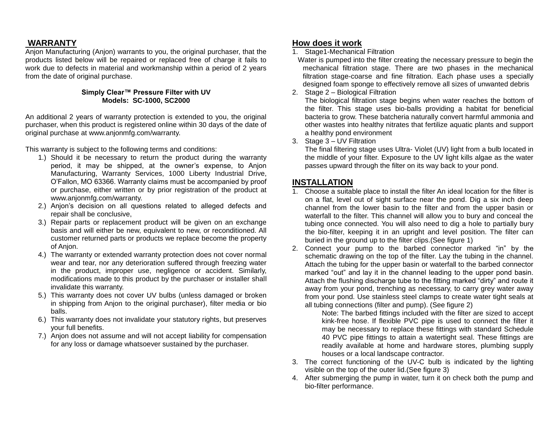# **WARRANTY**

Anjon Manufacturing (Anjon) warrants to you, the original purchaser, that the products listed below will be repaired or replaced free of charge it fails to work due to defects in material and workmanship within a period of 2 years from the date of original purchase.

#### **Simply Clear™ Pressure Filter with UV Models: SC-1000, SC2000**

An additional 2 years of warranty protection is extended to you, the original purchaser, when this product is registered online within 30 days of the date of original purchase at www.anjonmfg.com/warranty.

This warranty is subject to the following terms and conditions:

- 1.) Should it be necessary to return the product during the warranty period, it may be shipped, at the owner's expense, to Anjon Manufacturing, Warranty Services, 1000 Liberty Industrial Drive, O'Fallon, MO 63366. Warranty claims must be accompanied by proof or purchase, either written or by prior registration of the product at www.anjonmfg.com/warranty.
- 2.) Anjon's decision on all questions related to alleged defects and repair shall be conclusive,
- 3.) Repair parts or replacement product will be given on an exchange basis and will either be new, equivalent to new, or reconditioned. All customer returned parts or products we replace become the property of Anjon.
- 4.) The warranty or extended warranty protection does not cover normal wear and tear, nor any deterioration suffered through freezing water in the product, improper use, negligence or accident. Similarly, modifications made to this product by the purchaser or installer shall invalidate this warranty.
- 5.) This warranty does not cover UV bulbs (unless damaged or broken in shipping from Anjon to the original purchaser), filter media or bio balls.
- 6.) This warranty does not invalidate your statutory rights, but preserves your full benefits.
- 7.) Anjon does not assume and will not accept liability for compensation for any loss or damage whatsoever sustained by the purchaser.

## **How does it work**

1. Stage1-Mechanical Filtration

 Water is pumped into the filter creating the necessary pressure to begin the mechanical filtration stage. There are two phases in the mechanical filtration stage-coarse and fine filtration. Each phase uses a specially designed foam sponge to effectively remove all sizes of unwanted debris

2. Stage 2 – Biological Filtration

The biological filtration stage begins when water reaches the bottom of the filter. This stage uses bio-balls providing a habitat for beneficial bacteria to grow. These batcheria naturally convert harmful ammonia and other wastes into healthy nitrates that fertilize aquatic plants and support a healthy pond environment

3. Stage 3 – UV Filtration

The final filtering stage uses Ultra- Violet (UV) light from a bulb located in the middle of your filter. Exposure to the UV light kills algae as the water passes upward through the filter on its way back to your pond.

## **INSTALLATION**

- 1. Choose a suitable place to install the filter An ideal location for the filter is on a flat, level out of sight surface near the pond. Dig a six inch deep channel from the lower basin to the filter and from the upper basin or waterfall to the filter. This channel will allow you to bury and conceal the tubing once connected. You will also need to dig a hole to partially bury the bio-filter, keeping it in an upright and level position. The filter can buried in the ground up to the filter clips.(See figure 1)
- 2. Connect your pump to the barbed connector marked "in" by the schematic drawing on the top of the filter. Lay the tubing in the channel. Attach the tubing for the upper basin or waterfall to the barbed connector marked "out" and lay it in the channel leading to the upper pond basin. Attach the flushing discharge tube to the fitting marked "dirty" and route it away from your pond, trenching as necessary, to carry grey water away from your pond. Use stainless steel clamps to create water tight seals at all tubing connections (filter and pump). (See figure 2)

Note: The barbed fittings included with the filter are sized to accept kink-free hose. If flexible PVC pipe is used to connect the filter it may be necessary to replace these fittings with standard Schedule 40 PVC pipe fittings to attain a watertight seal. These fittings are readily available at home and hardware stores, plumbing supply houses or a local landscape contractor.

- 3. The correct functioning of the UV-C bulb is indicated by the lighting visible on the top of the outer lid.(See figure 3)
- 4. After submerging the pump in water, turn it on check both the pump and bio-filter performance.